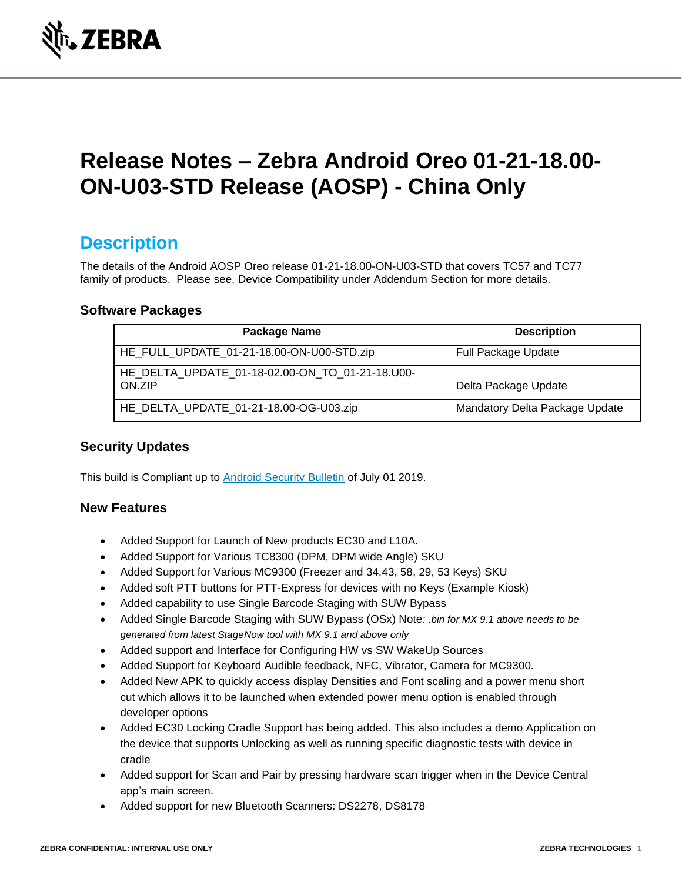

# **Release Notes – Zebra Android Oreo 01-21-18.00- ON-U03-STD Release (AOSP) - China Only**

### **Description**

The details of the Android AOSP Oreo release 01-21-18.00-ON-U03-STD that covers TC57 and TC77 family of products. Please see, Device Compatibility under Addendum Section for more details.

#### **Software Packages**

| Package Name                                              | <b>Description</b>             |
|-----------------------------------------------------------|--------------------------------|
| HE_FULL_UPDATE_01-21-18.00-ON-U00-STD.zip                 | <b>Full Package Update</b>     |
| HE DELTA UPDATE 01-18-02.00-ON TO 01-21-18.U00-<br>ON.ZIP | Delta Package Update           |
| HE_DELTA_UPDATE_01-21-18.00-OG-U03.zip                    | Mandatory Delta Package Update |

#### **Security Updates**

This build is Compliant up to [Android Security Bulletin](https://source.android.com/security/bulletin/) of July 01 2019.

#### **New Features**

- Added Support for Launch of New products EC30 and L10A.
- Added Support for Various TC8300 (DPM, DPM wide Angle) SKU
- Added Support for Various MC9300 (Freezer and 34,43, 58, 29, 53 Keys) SKU
- Added soft PTT buttons for PTT-Express for devices with no Keys (Example Kiosk)
- Added capability to use Single Barcode Staging with SUW Bypass
- Added Single Barcode Staging with SUW Bypass (OSx) Note*: .bin for MX 9.1 above needs to be generated from latest StageNow tool with MX 9.1 and above only*
- Added support and Interface for Configuring HW vs SW WakeUp Sources
- Added Support for Keyboard Audible feedback, NFC, Vibrator, Camera for MC9300.
- Added New APK to quickly access display Densities and Font scaling and a power menu short cut which allows it to be launched when extended power menu option is enabled through developer options
- Added EC30 Locking Cradle Support has being added. This also includes a demo Application on the device that supports Unlocking as well as running specific diagnostic tests with device in cradle
- Added support for Scan and Pair by pressing hardware scan trigger when in the Device Central app's main screen.
- Added support for new Bluetooth Scanners: DS2278, DS8178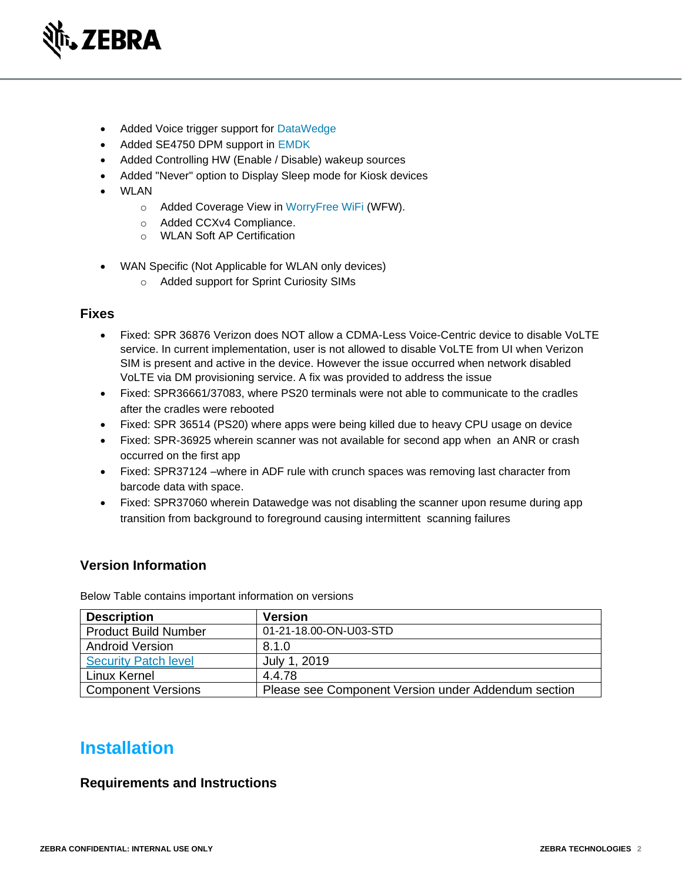

- Added Voice trigger support for [DataWedge](https://www.zebra.com/us/en/support-downloads/software.html)
- Added SE4750 DPM support in [EMDK](https://www.zebra.com/us/en/support-downloads/software/developer-tools/emdk-for-android.html)
- Added Controlling HW (Enable / Disable) wakeup sources
- Added "Never" option to Display Sleep mode for Kiosk devices
- WLAN
	- o Added Coverage View in [WorryFree WiFi](https://www.zebra.com/us/en/support-downloads/software/productivity-apps/worryfree-wifi.html) (WFW).
	- o Added CCXv4 Compliance.
	- o WLAN Soft AP Certification
- WAN Specific (Not Applicable for WLAN only devices)
	- o Added support for Sprint Curiosity SIMs

#### **Fixes**

- Fixed: SPR 36876 Verizon does NOT allow a CDMA-Less Voice-Centric device to disable VoLTE service. In current implementation, user is not allowed to disable VoLTE from UI when Verizon SIM is present and active in the device. However the issue occurred when network disabled VoLTE via DM provisioning service. A fix was provided to address the issue
- Fixed: SPR36661/37083, where PS20 terminals were not able to communicate to the cradles after the cradles were rebooted
- Fixed: SPR 36514 (PS20) where apps were being killed due to heavy CPU usage on device
- Fixed: SPR-36925 wherein scanner was not available for second app when an ANR or crash occurred on the first app
- Fixed: SPR37124 –where in ADF rule with crunch spaces was removing last character from barcode data with space.
- Fixed: SPR37060 wherein Datawedge was not disabling the scanner upon resume during app transition from background to foreground causing intermittent scanning failures

#### **Version Information**

Below Table contains important information on versions

| <b>Description</b>          | <b>Version</b>                                      |
|-----------------------------|-----------------------------------------------------|
| <b>Product Build Number</b> | 01-21-18.00-ON-U03-STD                              |
| <b>Android Version</b>      | 8.1.0                                               |
| <b>Security Patch level</b> | July 1, 2019                                        |
| Linux Kernel                | 4.4.78                                              |
| <b>Component Versions</b>   | Please see Component Version under Addendum section |

### **Installation**

#### **Requirements and Instructions**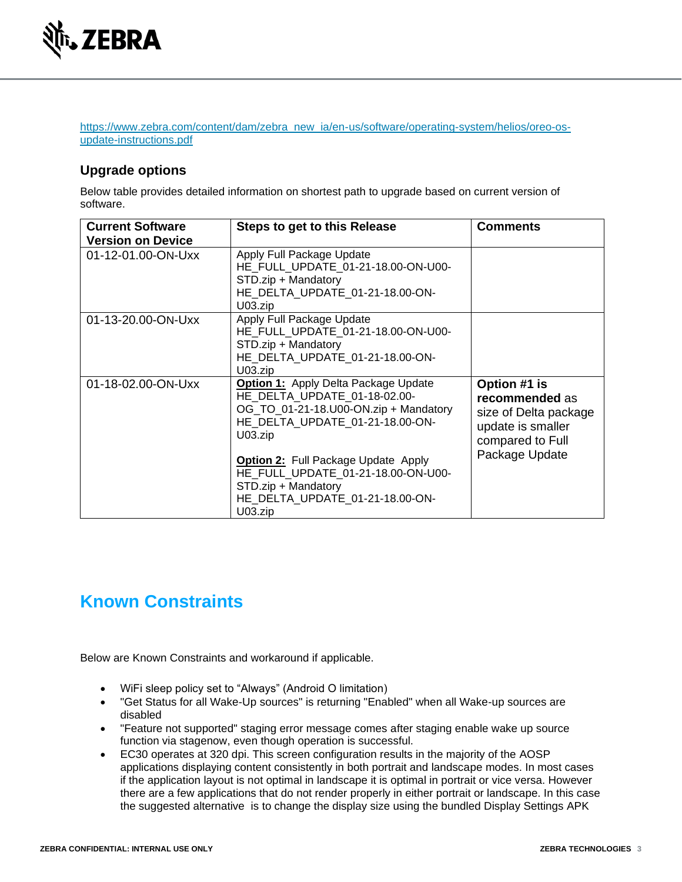

[https://www.zebra.com/content/dam/zebra\\_new\\_ia/en-us/software/operating-system/helios/oreo-os](https://www.zebra.com/content/dam/zebra_new_ia/en-us/software/operating-system/helios/oreo-os-update-instructions.pdf)[update-instructions.pdf](https://www.zebra.com/content/dam/zebra_new_ia/en-us/software/operating-system/helios/oreo-os-update-instructions.pdf)

#### **Upgrade options**

Below table provides detailed information on shortest path to upgrade based on current version of software.

| <b>Current Software</b>  | <b>Steps to get to this Release</b>                                                                                                                                                                                                                                                                                                     | <b>Comments</b>                                                                                                    |
|--------------------------|-----------------------------------------------------------------------------------------------------------------------------------------------------------------------------------------------------------------------------------------------------------------------------------------------------------------------------------------|--------------------------------------------------------------------------------------------------------------------|
| <b>Version on Device</b> |                                                                                                                                                                                                                                                                                                                                         |                                                                                                                    |
| 01-12-01.00-ON-Uxx       | Apply Full Package Update<br>HE FULL UPDATE 01-21-18.00-ON-U00-<br>STD.zip + Mandatory<br>HE DELTA UPDATE 01-21-18.00-ON-<br>U <sub>03.zip</sub>                                                                                                                                                                                        |                                                                                                                    |
| 01-13-20.00-ON-Uxx       | Apply Full Package Update<br>HE FULL UPDATE 01-21-18.00-ON-U00-<br>STD.zip + Mandatory<br>HE DELTA UPDATE 01-21-18.00-ON-<br>U <sub>03.zi<sub>D</sub></sub>                                                                                                                                                                             |                                                                                                                    |
| 01-18-02.00-ON-Uxx       | <b>Option 1:</b> Apply Delta Package Update<br>HE DELTA UPDATE 01-18-02.00-<br>OG_TO_01-21-18.U00-ON.zip + Mandatory<br>HE DELTA UPDATE 01-21-18.00-ON-<br>U <sub>03.zip</sub><br><b>Option 2: Full Package Update Apply</b><br>HE FULL UPDATE_01-21-18.00-ON-U00-<br>STD.zip + Mandatory<br>HE DELTA UPDATE 01-21-18.00-ON-<br>U03.zip | Option #1 is<br>recommended as<br>size of Delta package<br>update is smaller<br>compared to Full<br>Package Update |

## **Known Constraints**

Below are Known Constraints and workaround if applicable.

- WiFi sleep policy set to "Always" (Android O limitation)
- "Get Status for all Wake-Up sources" is returning "Enabled" when all Wake-up sources are disabled
- "Feature not supported" staging error message comes after staging enable wake up source function via stagenow, even though operation is successful.
- EC30 operates at 320 dpi. This screen configuration results in the majority of the AOSP applications displaying content consistently in both portrait and landscape modes. In most cases if the application layout is not optimal in landscape it is optimal in portrait or vice versa. However there are a few applications that do not render properly in either portrait or landscape. In this case the suggested alternative is to change the display size using the bundled Display Settings APK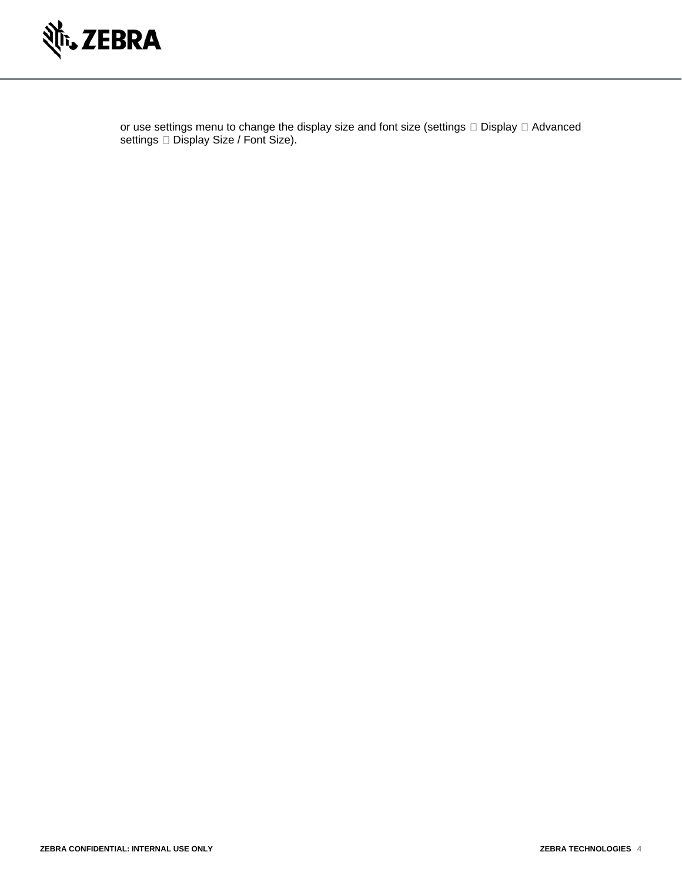

or use settings menu to change the display size and font size (settings  $\Box$  Display  $\Box$  Advanced settings □ Display Size / Font Size).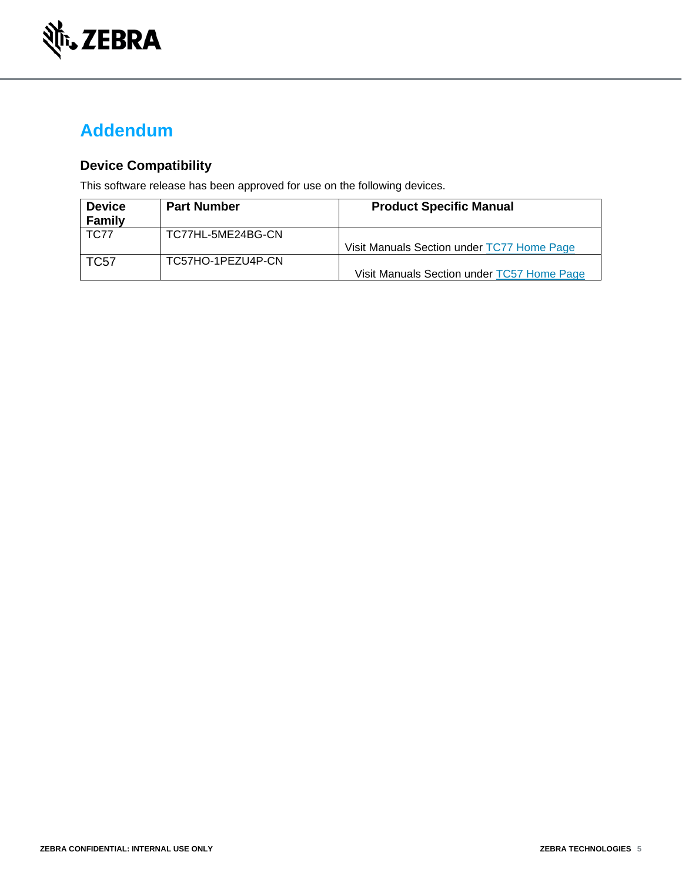

### **Addendum**

#### **Device Compatibility**

This software release has been approved for use on the following devices.

| <b>Device</b> | <b>Part Number</b> | <b>Product Specific Manual</b>             |
|---------------|--------------------|--------------------------------------------|
| <b>Family</b> |                    |                                            |
| <b>TC77</b>   | TC77HL-5ME24BG-CN  |                                            |
|               |                    | Visit Manuals Section under TC77 Home Page |
| <b>TC57</b>   | TC57HO-1PEZU4P-CN  |                                            |
|               |                    | Visit Manuals Section under TC57 Home Page |